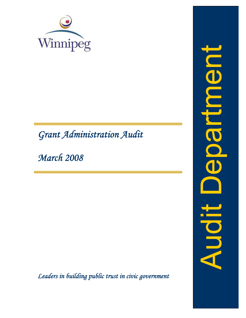

# *Grant Administration Audit*

*March 2008*

*Leaders in building public trust in civic government*

oputilisce Audit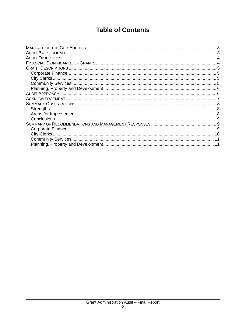# **Table of Contents**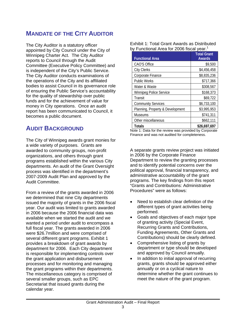# **MANDATE OF THE CITY AUDITOR**

The City Auditor is a statutory officer appointed by City Council under the City of Winnipeg Charter Act. The City Auditor reports to Council through the Audit Committee (Executive Policy Committee) and is independent of the City's Public Service. The City Auditor conducts examinations of the operations of the City and its affiliated bodies to assist Council in its governance role of ensuring the Public Service's accountability for the quality of stewardship over public funds and for the achievement of value for money in City operations. Once an audit report has been communicated to Council, it becomes a public document.

# **AUDIT BACKGROUND**

The City of Winnipeg awards grant monies for a wide variety of purposes. Grants are awarded to community groups, non-profit organizations, and others through grant programs established within the various City departments. An audit of the Grant Oversight process was identified in the department's 2007-2009 Audit Plan and approved by the Audit Committee.

From a review of the grants awarded in 2006 we determined that nine City departments issued the majority of grants in the 2006 fiscal year. Our audit was limited to grants awarded in 2006 because the 2006 financial data was available when we started the audit and we wanted a period under audit to encompass a full fiscal year. The grants awarded in 2006 were \$26.7million and were comprised of several different grant programs. Exhibit 1 provides a breakdown of grant awards by department for 2006. Each City department is responsible for implementing controls over the grant application and disbursement processes and for monitoring and managing the grant programs within their departments. The miscellaneous category is comprised of several smaller groups, such as EPC Secretariat that issued grants during the calendar year.

Exhibit 1: Total Grant Awards as Distributed by Functional Area for 2006 fiscal year.<sup>1</sup>

| <b>Functional Area</b>           | <b>Total Grant</b><br><b>Awards</b> |
|----------------------------------|-------------------------------------|
| CAO'S Office                     | \$9,500                             |
| <b>City Clerks</b>               | \$4,456,458                         |
| Corporate Finance                | \$8,835,236                         |
| Public Works                     | \$717,366                           |
| Water & Waste                    | \$308,567                           |
| <b>Winnipeg Police Service</b>   | \$168,373                           |
| Transit                          | \$69,722                            |
| <b>Community Services</b>        | \$6,733,100                         |
| Planning, Property & Development | \$3,995,953                         |
| <b>Museums</b>                   | \$741,311                           |
| Other miscellaneous              | \$662,111                           |
| <b>Totals</b>                    | \$26,697,697                        |

Note 1: Data for the review was provided by Corporate Finance and was not audited for completeness.

A separate grants review project was initiated in 2006 by the Corporate Finance Department to review the granting processes and to identify potential concerns over the political approval, financial transparency, and administrative accountability of the grant programs. The key findings from this report "Grants and Contributions: Administrative Procedures" were as follows:

- Need to establish clear definition of the different types of grant activities being performed.
- Goals and objectives of each major type of granting activity (Special Event, Recurring Grants and Contributions, Funding Agreements, Other Grants and Contributions) should be clearly defined.
- Comprehensive listing of grants by department or type should be developed and approved by Council annually.
- In addition to initial approval of recurring grants, grants should be approved either annually or on a cyclical nature to determine whether the grant continues to meet the nature of the grant program.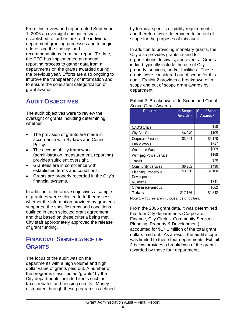From this review and report dated September 1, 2006 an oversight committee was established to further look at the individual department granting processes and to begin addressing the findings and recommendations from that report. To date, the CFO has implemented an annual reporting process to gather data from all departments on the grants awarded during the previous year. Efforts are also ongoing to improve the transparency of information and to ensure the consistent categorization of grant awards.

# **AUDIT OBJECTIVES**

The audit objectives were to review the oversight of grants including determining whether

- The provision of grants are made in accordance with By-laws and Council Policy.
- The accountability framework (administration, measurement, reporting) provides sufficient oversight.
- Grantees are in compliance with established terms and conditions.
- Grants are properly recorded in the City's financial systems.

In addition to the above objectives a sample of grantees were selected to further assess whether the information provided by grantees supported the specific terms and conditions outlined in each selected grant agreement, and that based on these criteria being met, City staff appropriately approved the release of grant funding.

# **FINANCIAL SIGNIFICANCE OF GRANTS**

The focus of the audit was on the departments with a high volume and high dollar value of grants paid out. A number of the programs classified as "grants" by the City departments included items such as taxes rebates and housing credits. Money distributed through these programs is defined by formula specific eligibility requirements and therefore were determined to be out of scope for the purposes of this audit.

In addition to providing monetary grants, the City also provides grants in-kind to organizations, festivals, and events. Grants in-kind typically include the use of City property, services, and/or facilities. These grants were considered out of scope for this audit. Exhibit 2 provides a breakdown of in scope and out of scope grant awards by department.

| <b>Department</b>                   | In-Scope<br>Awards <sup>1</sup> | <b>Out of Scope</b><br>Awards <sup>1</sup> |
|-------------------------------------|---------------------------------|--------------------------------------------|
|                                     |                                 |                                            |
| <b>CAO'S Office</b>                 |                                 | \$10                                       |
| City Clerk's                        | \$4,240                         | \$105                                      |
| Corporate Finance                   | \$3,664                         | \$5,170                                    |
| <b>Public Works</b>                 |                                 | \$717                                      |
| Water and Waste                     |                                 | \$309                                      |
| <b>Winnipeg Police Service</b>      |                                 | \$168                                      |
| Transit                             |                                 | \$70                                       |
| <b>Community Services</b>           | \$6,202                         | \$490                                      |
| Planning, Property &<br>Development | \$3,050                         | \$1,100                                    |
| <b>Museums</b>                      |                                 | \$741                                      |
| Other miscellaneous                 |                                 | \$662                                      |
| <b>Totals</b>                       | \$17,156                        | \$9,542                                    |

Exhibit 2: Breakdown of In-Scope and Out of Scope Grant Awards.

Note 1 – figures are in thousands of dollars.

From the 2006 grant data, it was determined that four City departments (Corporate Finance, City Clerk's, Community Services, Planning, Property & Development) accounted for \$17.1 million of the total grant dollars paid out. As a result, the audit scope was limited to these four departments. Exhibit 3 below provides a breakdown of the grants awarded by these four departments.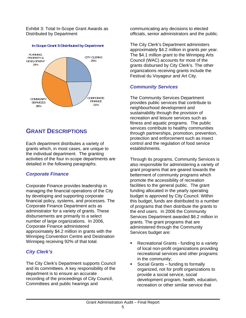Exhibit 3: Total In-Scope Grant Awards as Distributed by Department



#### **In-Scope Grant \$ Distributed by Department**

# **GRANT DESCRIPTIONS**

Each department distributes a variety of grants which, in most cases, are unique to the individual department. The granting activities of the four in-scope departments are detailed in the following paragraphs.

### *Corporate Finance*

Corporate Finance provides leadership in managing the financial operations of the City by developing and supporting corporate financial policy, systems, and processes. The Corporate Finance Department acts as administrator for a variety of grants. These disbursements are primarily to a select number of large organizations. In 2006, Corporate Finance administered approximately \$4.2 million in grants with the Winnipeg Convention Centre and Destination Winnipeg receiving 92% of that total.

### *City Clerk's*

The City Clerk's Department supports Council and its committees. A key responsibility of the department is to ensure an accurate recording of the proceedings of City Council, Committees and public hearings and

communicating any decisions to elected officials, senior administrators and the public.

The City Clerk's Department administers approximately \$4.2 million in grants per year. The \$4.1 million grant to the Winnipeg Arts Council (WAC) accounts for most of the grants disbursed by City Clerk's. The other organizations receiving grants include the Festival du Voyageur and Art City.

### *Community Services*

The Community Services Department provides public services that contribute to neighbourhood development and sustainability through the provision of recreation and leisure services such as fitness and aquatic programs. The public services contribute to healthy communities through partnerships, promotion, prevention, protection and enforcement such as insect control and the regulation of food service establishments.

Through its programs, Community Services is also responsible for administering a variety of grant programs that are geared towards the betterment of community programs which promote the accessibility of recreation facilities to the general public. The grant funding allocated in the yearly operating budget is approved by City Council. Within this budget, funds are distributed to a number of programs that then distribute the grants to the end users. In 2006 the Community Services Department awarded \$6.2 million in grants. The grant programs that are administered through the Community Services budget are:

- **Recreational Grants funding to a variety** of local non-profit organizations providing recreational services and other programs in the community;
- Social Grants funding to formally organized, not for profit organizations to provide a social service, social development program, health, education, recreation or other similar service that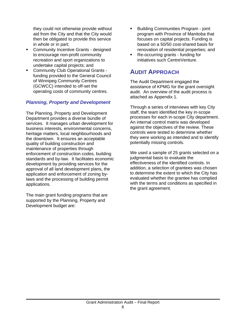they could not otherwise provide without aid from the City and that the City would then be obligated to provide this service in whole or in part;

- **EXECOMMUNITY Incentive Grants designed** to encourage non-profit community recreation and sport organizations to undertake capital projects; and
- Community Club Operational Grants funding provided to the General Council of Winnipeg Community Centres (GCWCC) intended to off-set the operating costs of community centres.

### *Planning, Property and Development*

The Planning, Property and Development Department provides a diverse bundle of services. It manages urban development for business interests, environmental concerns, heritage matters, local neighbourhoods and the downtown. It ensures an acceptable quality of building construction and maintenance of properties through enforcement of construction codes, building standards and by-law. It facilitates economic development by providing services for the approval of all land development plans, the application and enforcement of zoning bylaws and the processing of building permit applications.

The main grant funding programs that are supported by the Planning, Property and Development budget are:

- **Building Communities Program joint** program with Province of Manitoba that focuses on capital projects. Funding is based on a 50/50 cost-shared basis for renovation of residential properties; and
- Re-occurring grants funding for initiatives such CentreVenture.

# **AUDIT APPROACH**

The Audit Department engaged the assistance of KPMG for the grant oversight audit. An overview of the audit process is attached as Appendix 1.

Through a series of interviews with key City staff, the team identified the key in-scope processes for each in-scope City department. An internal control matrix was developed against the objectives of the review. These controls were tested to determine whether they were working as intended and to identify potentially missing controls.

We used a sample of 25 grants selected on a judgmental basis to evaluate the effectiveness of the identified controls. In addition, a selection of grantees was chosen to determine the extent to which the City has evaluated whether the grantee has complied with the terms and conditions as specified in the grant agreement.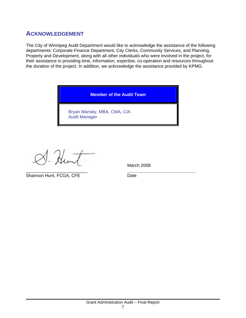# **ACKNOWLEDGEMENT**

The City of Winnipeg Audit Department would like to acknowledge the assistance of the following departments: Corporate Finance Department, City Clerks, Community Services, and Planning, Property and Development, along with all other individuals who were involved in the project, for their assistance in providing time, information, expertise, co-operation and resources throughout the duration of the project. In addition, we acknowledge the assistance provided by KPMG.

**Member of the Audit Team** 

Bryan Mansky, MBA, CMA, CIA Audit Manager

 $\mathcal{N}_{\mathcal{L}}$ 

\_\_\_\_\_\_\_\_\_\_\_\_\_\_\_\_\_\_\_\_\_\_\_\_\_ *\_\_\_\_\_\_\_\_\_\_\_\_\_\_\_\_\_\_\_\_\_\_\_\_\_\_\_\_* Shannon Hunt, FCGA, CFE Date

March 2008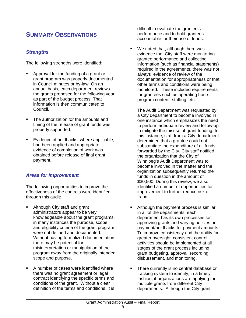# **SUMMARY OBSERVATIONS**

### *Strengths*

The following strengths were identified:

- Approval for the funding of a grant or grant program was properly documented in Council minutes or by-law. On an annual basis, each department reviews the grants proposed for the following year as part of the budget process. That information is then communicated to Council.
- The authorization for the amounts and timing of the release of grant funds was properly supported.
- **Evidence of holdbacks, where applicable,** had been applied and appropriate evidence of completion of work was obtained before release of final grant payment.

### *Areas for Improvement*

The following opportunities to improve the effectiveness of the controls were identified through this audit:

- Although City staff and grant administrators appear to be very knowledgeable about the grant programs, in many instances the purpose, scope and eligibility criteria of the grant program were not defined and documented. Without having formalized documentation, there may be potential for misinterpretation or manipulation of the program away from the originally intended scope and purpose.
- A number of cases were identified where there was no grant agreement or legal contract identifying the specific terms and conditions of the grant. Without a clear definition of the terms and conditions, it is

difficult to evaluate the grantee's performance and to hold grantees accountable for their use of funds.

We noted that, although there was evidence that City staff were monitoring grantee performance and collecting information (such as financial statements) required in the agreements, there was not always evidence of review of the documentation for appropriateness or that other terms and conditions were being monitored. These included requirements for grantees such as operating hours, program content, staffing, etc.

The Audit Department was requested by a City department to become involved in one instance which emphasizes the need to perform adequate review and follow-up to mitigate the misuse of grant funding. In this instance, staff from a City department determined that a grantee could not substantiate the expenditure of all funds forwarded by the City. City staff notified the organization that the City of Winnipeg's Audit Department was to become involved in the matter and the organization subsequently returned the funds in question in the amount of \$30,500. During this review, we also identified a number of opportunities for improvement to further reduce risk of fraud.

- Although the payment process is similar in all of the departments, each department has its own processes for approving grants and varying policies on payment/holdbacks for payment amounts. To improve consistency and the ability for greater oversight, consistent control activities should be implemented at all stages of the grant process including grant budgeting, approval, recording, disbursement, and monitoring.
- **There currently is no central database or** tracking system to identify, in a timely fashion, if organizations are applying for multiple grants from different City departments. Although the City grant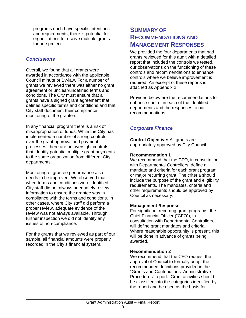programs each have specific intentions and requirements, there is potential for organizations to receive multiple grants for one project.

### *Conclusions*

Overall, we found that all grants were awarded in accordance with the applicable Council minute or By-law. For a number of grants we reviewed there was either no grant agreement or unclear/undefined terms and conditions. The City must ensure that all grants have a signed grant agreement that defines specific terms and conditions and that City staff document their compliance monitoring of the grantee.

In any financial program there is a risk of misappropriation of funds. While the City has implemented a number of strong controls over the grant approval and payment processes, there are no oversight controls that identify potential multiple grant payments to the same organization from different City departments.

Monitoring of grantee performance also needs to be improved. We observed that when terms and conditions were identified, City staff did not always adequately review information to ensure the grantee was in compliance with the terms and conditions. In other cases, where City staff did perform a proper review, adequate evidence of the review was not always available. Through further inspection we did not identify any issues of non-compliance.

For the grants that we reviewed as part of our sample, all financial amounts were properly recorded in the City's financial system.

# **SUMMARY OF RECOMMENDATIONS AND MANAGEMENT RESPONSES**

We provided the four departments that had grants reviewed for this audit with a detailed report that included the controls we tested, our observations on the functioning of these controls and recommendations to enhance controls where we believe improvement is required. An excerpt of these reports is attached as Appendix 2.

Provided below are the recommendations to enhance control in each of the identified departments and the responses to our recommendations.

# *Corporate Finance*

**Control Objective:** All grants are appropriately approved by City Council

### **Recommendation 1**

We recommend that the CFO, in consultation with Departmental Controllers, define a mandate and criteria for each grant program or major recurring grant. The criteria should include the purpose of the grant and eligibility requirements. The mandates, criteria and other requirements should be approved by Council as necessary.

### **Management Response**

For significant recurring grant programs, the Chief Financial Officer ("CFO"), in consultation with Departmental Controllers, will define grant mandates and criteria. Where reasonable opportunity is present, this will be done in advance of grants being awarded.

### **Recommendation 2**

We recommend that the CFO request the approval of Council to formally adopt the recommended definitions provided in the "Grants and Contributions: Administrative Procedures" report. Grant activities should be classified into the categories identified by the report and be used as the basis for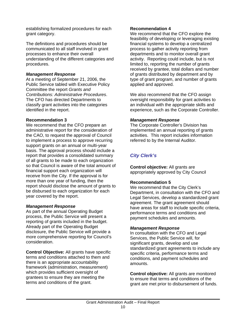establishing formalized procedures for each grant category.

The definitions and procedures should be communicated to all staff involved in grant processes to enhance their overall understanding of the different categories and procedures.

#### *Management Response*

At a meeting of September 21, 2006, the Public Service tabled with Executive Policy Committee the report *Grants and Contributions: Administrative Procedures*. The CFO has directed Departments to classify grant activities into the categories identified in the report.

#### **Recommendation 3**

We recommend that the CFO prepare an administrative report for the consideration of the CAO, to request the approval of Council to implement a process to approve recurring support grants on an annual or multi-year basis. The approval process should include a report that provides a consolidated summary of all grants to be made to each organization so that Council is aware of the total amount of financial support each organization will receive from the City. If the approval is for more than one year of funding, then the report should disclose the amount of grants to be disbursed to each organization for each year covered by the report.

#### *Management Response*

As part of the annual Operating Budget process, the Public Service will present a reporting of grants included in the budget. Already part of the Operating Budget disclosure, the Public Service will provide a more comprehensive reporting for Council's consideration.

**Control Objective:** All grants have specific terms and conditions attached to them and there is an appropriate accountability framework (administration, measurement) which provides sufficient oversight of grantees to ensure they are meeting the terms and conditions of the grant.

#### **Recommendation 4**

We recommend that the CFO explore the feasibility of developing or leveraging existing financial systems to develop a centralized process to gather activity reporting from departments and to monitor overall grant activity. Reporting could include, but is not limited to, reporting the number of grants received by grantee, total dollars and number of grants distributed by department and by type of grant program, and number of grants applied and approved.

We also recommend that the CFO assign oversight responsibility for grant activities to an individual with the appropriate skills and experience, such as the Corporate Controller.

#### *Management Response*

The Corporate Controller's Division has implemented an annual reporting of grants activities. This report includes information referred to by the Internal Auditor.

# *City Clerk's*

**Control objective:** All grants are appropriately approved by City Council

### **Recommendation 5**

We recommend that the City Clerk's Department, in consultation with the CFO and Legal Services, develop a standardized grant agreement. The grant agreement should have areas for staff to include specific criteria, performance terms and conditions and payment schedules and amounts.

#### *Management Response*

In consultation with the CFO and Legal Services, the Public Service will, for significant grants, develop and use standardized grant agreements to include any specific criteria, performance terms and conditions, and payment schedules and amounts.

**Control objective:** All grants are monitored to ensure that terms and conditions of the grant are met prior to disbursement of funds.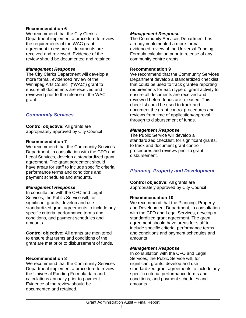#### **Recommendation 6**

We recommend that the City Clerk's Department implement a procedure to review the requirements of the WAC grant agreement to ensure all documents are received and reviewed. Evidence of the review should be documented and retained.

#### *Management Response*

The City Clerks Department will develop a more formal, evidenced review of the Winnipeg Arts Council ("WAC") grant to ensure all documents are received and reviewed prior to the release of the WAC grant.

### *Community Services*

**Control objective:** All grants are appropriately approved by City Council

#### **Recommendation 7**

We recommend that the Community Services Department, in consultation with the CFO and Legal Services, develop a standardized grant agreement. The grant agreement should have areas for staff to include specific criteria, performance terms and conditions and payment schedules and amounts.

#### *Management Response*

In consultation with the CFO and Legal Services, the Public Service will, for significant grants, develop and use standardized grant agreements to include any specific criteria, performance terms and conditions, and payment schedules and amounts.

**Control objective:** All grants are monitored to ensure that terms and conditions of the grant are met prior to disbursement of funds.

#### **Recommendation 8**

We recommend that the Community Services Department implement a procedure to review the Universal Funding Formula data and calculations annually prior to payment. Evidence of the review should be documented and retained.

#### *Management Response*

The Community Services Department has already implemented a more formal, evidenced review of the Universal Funding Formula calculation prior to release of any community centre grants.

#### **Recommendation 9**

We recommend that the Community Services Department develop a standardized checklist that could be used to track grantee reporting requirements for each type of grant activity to ensure all documents are received and reviewed before funds are released. This checklist could be used to track and document the grant control procedures and reviews from time of application/approval through to disbursement of funds.

#### *Management Response*

The Public Service will develop a standardized checklist, for significant grants, to track and document grant control procedures and reviews prior to grant disbursement.

### *Planning, Property and Development*

**Control objective:** All grants are appropriately approved by City Council

#### **Recommendation 10**

We recommend that the Planning, Property and Development Department, in consultation with the CFO and Legal Services, develop a standardized grant agreement. The grant agreement should have areas for staff to include specific criteria, performance terms and conditions and payment schedules and amounts

#### *Management Response*

In consultation with the CFO and Legal Services, the Public Service will, for significant grants, develop and use standardized grant agreements to include any specific criteria, performance terms and conditions, and payment schedules and amounts.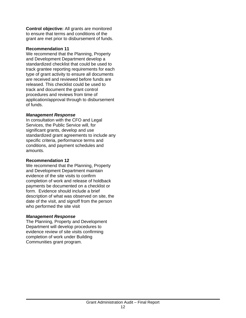**Control objective:** All grants are monitored to ensure that terms and conditions of the grant are met prior to disbursement of funds.

#### **Recommendation 11**

We recommend that the Planning, Property and Development Department develop a standardized checklist that could be used to track grantee reporting requirements for each type of grant activity to ensure all documents are received and reviewed before funds are released. This checklist could be used to track and document the grant control procedures and reviews from time of application/approval through to disbursement of funds.

#### *Management Response*

In consultation with the CFO and Legal Services, the Public Service will, for significant grants, develop and use standardized grant agreements to include any specific criteria, performance terms and conditions, and payment schedules and amounts.

#### **Recommendation 12**

We recommend that the Planning, Property and Development Department maintain evidence of the site visits to confirm completion of work and release of holdback payments be documented on a checklist or form. Evidence should include a brief description of what was observed on site, the date of the visit, and signoff from the person who performed the site visit

#### *Management Response*

The Planning, Property and Development Department will develop procedures to evidence review of site visits confirming completion of work under Building Communities grant program.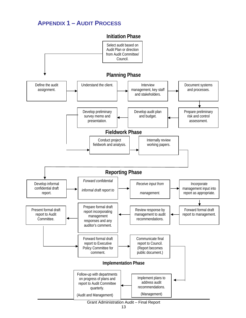# **APPENDIX 1 – AUDIT PROCESS**